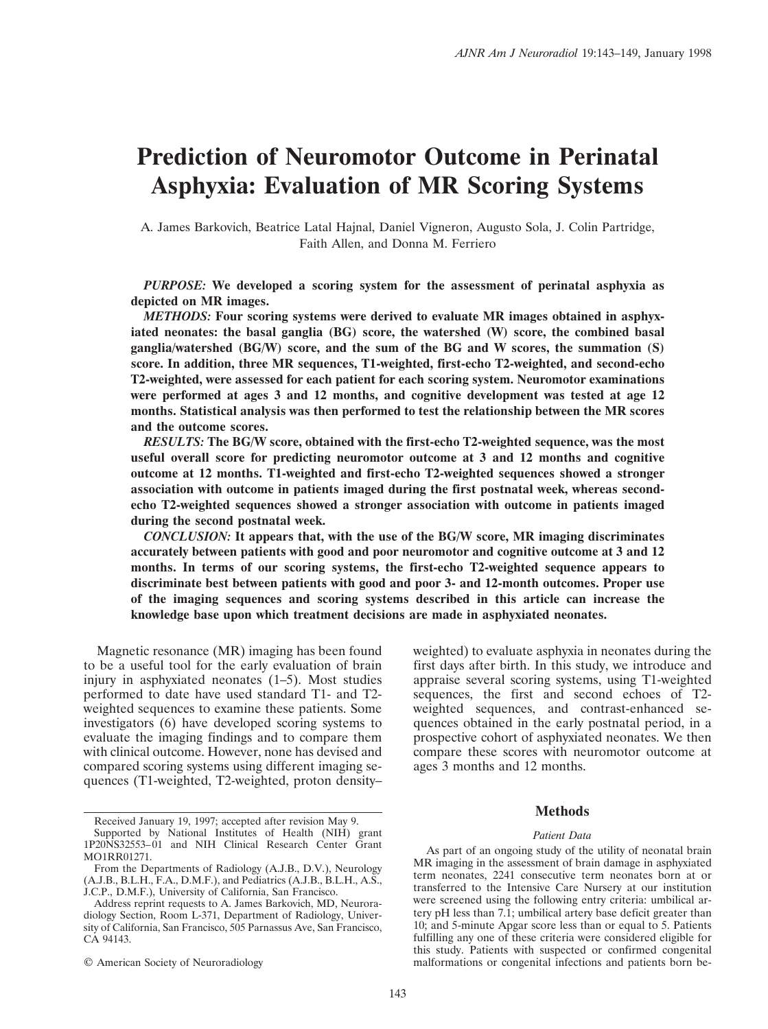# **Prediction of Neuromotor Outcome in Perinatal Asphyxia: Evaluation of MR Scoring Systems**

A. James Barkovich, Beatrice Latal Hajnal, Daniel Vigneron, Augusto Sola, J. Colin Partridge, Faith Allen, and Donna M. Ferriero

*PURPOSE:* **We developed a scoring system for the assessment of perinatal asphyxia as depicted on MR images.**

*METHODS:* **Four scoring systems were derived to evaluate MR images obtained in asphyxiated neonates: the basal ganglia (BG) score, the watershed (W) score, the combined basal ganglia/watershed (BG/W) score, and the sum of the BG and W scores, the summation (S) score. In addition, three MR sequences, T1-weighted, first-echo T2-weighted, and second-echo T2-weighted, were assessed for each patient for each scoring system. Neuromotor examinations were performed at ages 3 and 12 months, and cognitive development was tested at age 12 months. Statistical analysis was then performed to test the relationship between the MR scores and the outcome scores.**

*RESULTS:* **The BG/W score, obtained with the first-echo T2-weighted sequence, was the most useful overall score for predicting neuromotor outcome at 3 and 12 months and cognitive outcome at 12 months. T1-weighted and first-echo T2-weighted sequences showed a stronger association with outcome in patients imaged during the first postnatal week, whereas secondecho T2-weighted sequences showed a stronger association with outcome in patients imaged during the second postnatal week.**

*CONCLUSION:* **It appears that, with the use of the BG/W score, MR imaging discriminates accurately between patients with good and poor neuromotor and cognitive outcome at 3 and 12 months. In terms of our scoring systems, the first-echo T2-weighted sequence appears to discriminate best between patients with good and poor 3- and 12-month outcomes. Proper use of the imaging sequences and scoring systems described in this article can increase the knowledge base upon which treatment decisions are made in asphyxiated neonates.**

Magnetic resonance (MR) imaging has been found to be a useful tool for the early evaluation of brain injury in asphyxiated neonates (1–5). Most studies performed to date have used standard T1- and T2 weighted sequences to examine these patients. Some investigators (6) have developed scoring systems to evaluate the imaging findings and to compare them with clinical outcome. However, none has devised and compared scoring systems using different imaging sequences (T1-weighted, T2-weighted, proton density–

Supported by National Institutes of Health (NIH) grant 1P20NS32553–01 and NIH Clinical Research Center Grant MO1RR01271.

© American Society of Neuroradiology

weighted) to evaluate asphyxia in neonates during the first days after birth. In this study, we introduce and appraise several scoring systems, using T1-weighted sequences, the first and second echoes of T2 weighted sequences, and contrast-enhanced sequences obtained in the early postnatal period, in a prospective cohort of asphyxiated neonates. We then compare these scores with neuromotor outcome at ages 3 months and 12 months.

## **Methods**

#### *Patient Data*

As part of an ongoing study of the utility of neonatal brain MR imaging in the assessment of brain damage in asphyxiated term neonates, 2241 consecutive term neonates born at or transferred to the Intensive Care Nursery at our institution were screened using the following entry criteria: umbilical artery pH less than 7.1; umbilical artery base deficit greater than 10; and 5-minute Apgar score less than or equal to 5. Patients fulfilling any one of these criteria were considered eligible for this study. Patients with suspected or confirmed congenital malformations or congenital infections and patients born be-

Received January 19, 1997; accepted after revision May 9.

From the Departments of Radiology (A.J.B., D.V.), Neurology (A.J.B., B.L.H., F.A., D.M.F.), and Pediatrics (A.J.B., B.L.H., A.S., J.C.P., D.M.F.), University of California, San Francisco.

Address reprint requests to A. James Barkovich, MD, Neuroradiology Section, Room L-371, Department of Radiology, University of California, San Francisco, 505 Parnassus Ave, San Francisco, CA 94143.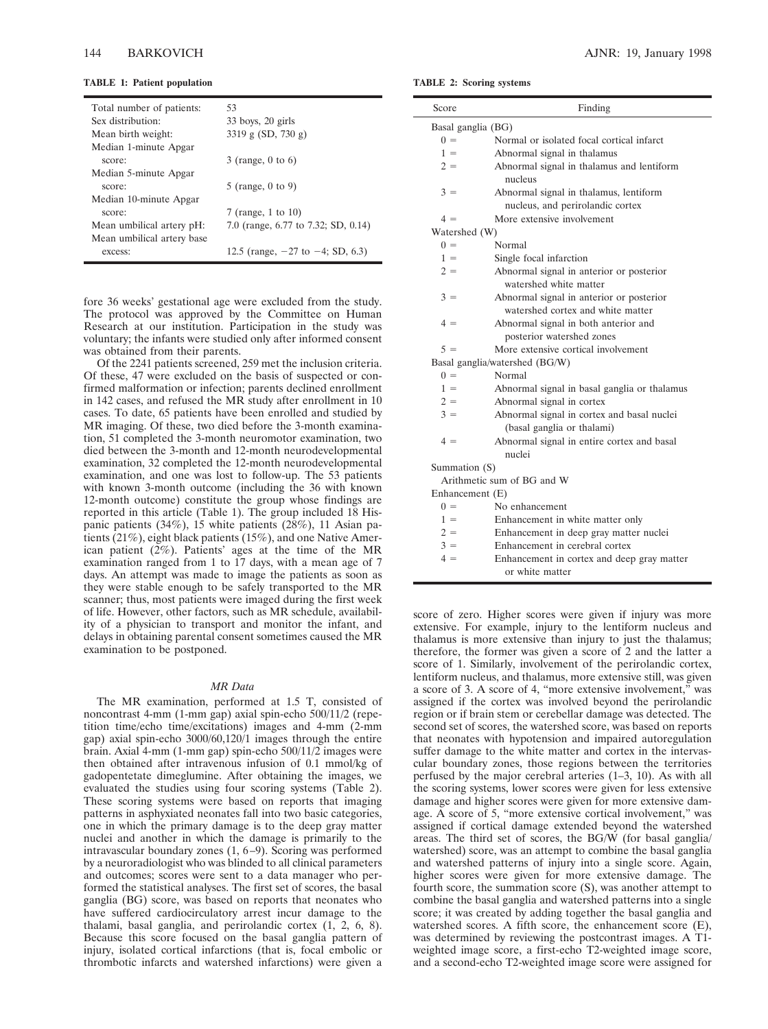| Total number of patients:  | 53                                    |
|----------------------------|---------------------------------------|
| Sex distribution:          | $33$ boys, $20$ girls                 |
| Mean birth weight:         | 3319 g $(SD, 730 g)$                  |
| Median 1-minute Apgar      |                                       |
| score:                     | $3$ (range, 0 to 6)                   |
| Median 5-minute Apgar      |                                       |
| score:                     | 5 (range, $0$ to $9$ )                |
| Median 10-minute Apgar     |                                       |
| score:                     | 7 (range, 1 to 10)                    |
| Mean umbilical artery pH:  | 7.0 (range, 6.77 to 7.32; SD, 0.14)   |
| Mean umbilical artery base |                                       |
| excess:                    | 12.5 (range, $-27$ to $-4$ ; SD, 6.3) |

fore 36 weeks' gestational age were excluded from the study. The protocol was approved by the Committee on Human Research at our institution. Participation in the study was voluntary; the infants were studied only after informed consent was obtained from their parents.

Of the 2241 patients screened, 259 met the inclusion criteria. Of these, 47 were excluded on the basis of suspected or confirmed malformation or infection; parents declined enrollment in 142 cases, and refused the MR study after enrollment in 10 cases. To date, 65 patients have been enrolled and studied by MR imaging. Of these, two died before the 3-month examination, 51 completed the 3-month neuromotor examination, two died between the 3-month and 12-month neurodevelopmental examination, 32 completed the 12-month neurodevelopmental examination, and one was lost to follow-up. The 53 patients with known 3-month outcome (including the 36 with known 12-month outcome) constitute the group whose findings are reported in this article (Table 1). The group included 18 Hispanic patients (34%), 15 white patients (28%), 11 Asian patients (21%), eight black patients (15%), and one Native American patient (2%). Patients' ages at the time of the MR examination ranged from 1 to 17 days, with a mean age of 7 days. An attempt was made to image the patients as soon as they were stable enough to be safely transported to the MR scanner; thus, most patients were imaged during the first week of life. However, other factors, such as MR schedule, availability of a physician to transport and monitor the infant, and delays in obtaining parental consent sometimes caused the MR examination to be postponed.

#### *MR Data*

The MR examination, performed at 1.5 T, consisted of noncontrast 4-mm (1-mm gap) axial spin-echo 500/11/2 (repetition time/echo time/excitations) images and 4-mm (2-mm gap) axial spin-echo 3000/60,120/1 images through the entire brain. Axial 4-mm (1-mm gap) spin-echo 500/11/2 images were then obtained after intravenous infusion of 0.1 mmol/kg of gadopentetate dimeglumine. After obtaining the images, we evaluated the studies using four scoring systems (Table 2). These scoring systems were based on reports that imaging patterns in asphyxiated neonates fall into two basic categories, one in which the primary damage is to the deep gray matter nuclei and another in which the damage is primarily to the intravascular boundary zones (1, 6–9). Scoring was performed by a neuroradiologist who was blinded to all clinical parameters and outcomes; scores were sent to a data manager who performed the statistical analyses. The first set of scores, the basal ganglia (BG) score, was based on reports that neonates who have suffered cardiocirculatory arrest incur damage to the thalami, basal ganglia, and perirolandic cortex (1, 2, 6, 8). Because this score focused on the basal ganglia pattern of injury, isolated cortical infarctions (that is, focal embolic or thrombotic infarcts and watershed infarctions) were given a

**TABLE 2: Scoring systems**

| Score              | Finding                                                            |
|--------------------|--------------------------------------------------------------------|
| Basal ganglia (BG) |                                                                    |
| $0 =$              | Normal or isolated focal cortical infarct                          |
| $1 =$              | Abnormal signal in thalamus                                        |
| $2 =$              | Abnormal signal in thalamus and lentiform<br>nucleus               |
| $3 =$              | Abnormal signal in thalamus, lentiform                             |
|                    | nucleus, and perirolandic cortex                                   |
| $4 =$              | More extensive involvement                                         |
| Watershed (W)      |                                                                    |
| $0 =$              | Normal                                                             |
| $1 =$              | Single focal infarction                                            |
| $2 =$              | Abnormal signal in anterior or posterior<br>watershed white matter |
| $3 =$              | Abnormal signal in anterior or posterior                           |
|                    | watershed cortex and white matter                                  |
| $4 =$              | Abnormal signal in both anterior and<br>posterior watershed zones  |
| $5 =$              | More extensive cortical involvement                                |
|                    | Basal ganglia/watershed (BG/W)                                     |
| $0 =$              | Normal                                                             |
| $1 =$              | Abnormal signal in basal ganglia or thalamus                       |
| $2 =$              | Abnormal signal in cortex                                          |
| $3 =$              | Abnormal signal in cortex and basal nuclei                         |
|                    | (basal ganglia or thalami)                                         |
| $4 =$              | Abnormal signal in entire cortex and basal                         |
|                    | nuclei                                                             |
| Summation (S)      |                                                                    |
|                    | Arithmetic sum of BG and W                                         |
| Enhancement (E)    |                                                                    |
| $0 =$              | No enhancement                                                     |
| $1 =$              | Enhancement in white matter only                                   |
| $2 =$              | Enhancement in deep gray matter nuclei                             |
| $3 =$              | Enhancement in cerebral cortex                                     |
| $4 =$              | Enhancement in cortex and deep gray matter<br>or white matter      |
|                    |                                                                    |

score of zero. Higher scores were given if injury was more extensive. For example, injury to the lentiform nucleus and thalamus is more extensive than injury to just the thalamus; therefore, the former was given a score of 2 and the latter a score of 1. Similarly, involvement of the perirolandic cortex, lentiform nucleus, and thalamus, more extensive still, was given a score of 3. A score of 4, "more extensive involvement," was assigned if the cortex was involved beyond the perirolandic region or if brain stem or cerebellar damage was detected. The second set of scores, the watershed score, was based on reports that neonates with hypotension and impaired autoregulation suffer damage to the white matter and cortex in the intervascular boundary zones, those regions between the territories perfused by the major cerebral arteries (1–3, 10). As with all the scoring systems, lower scores were given for less extensive damage and higher scores were given for more extensive damage. A score of 5, "more extensive cortical involvement," was assigned if cortical damage extended beyond the watershed areas. The third set of scores, the BG/W (for basal ganglia/ watershed) score, was an attempt to combine the basal ganglia and watershed patterns of injury into a single score. Again, higher scores were given for more extensive damage. The fourth score, the summation score (S), was another attempt to combine the basal ganglia and watershed patterns into a single score; it was created by adding together the basal ganglia and watershed scores. A fifth score, the enhancement score (E), was determined by reviewing the postcontrast images. A T1 weighted image score, a first-echo T2-weighted image score, and a second-echo T2-weighted image score were assigned for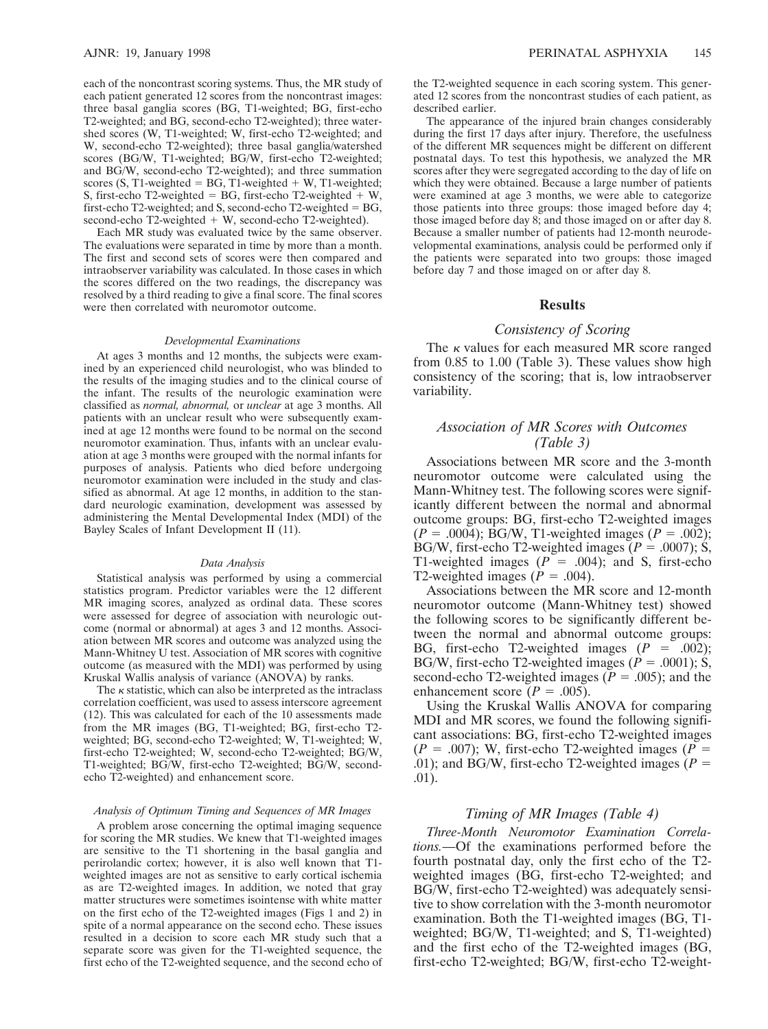each of the noncontrast scoring systems. Thus, the MR study of each patient generated 12 scores from the noncontrast images: three basal ganglia scores (BG, T1-weighted; BG, first-echo T2-weighted; and BG, second-echo T2-weighted); three watershed scores (W, T1-weighted; W, first-echo T2-weighted; and W, second-echo T2-weighted); three basal ganglia/watershed scores (BG/W, T1-weighted; BG/W, first-echo T2-weighted; and BG/W, second-echo T2-weighted); and three summation scores  $(S, T1$ -weighted = BG, T1-weighted + W, T1-weighted; S, first-echo T2-weighted = BG, first-echo T2-weighted  $+ W$ , first-echo T2-weighted; and S, second-echo T2-weighted  $= BG$ , second-echo T2-weighted  $+$  W, second-echo T2-weighted).

Each MR study was evaluated twice by the same observer. The evaluations were separated in time by more than a month. The first and second sets of scores were then compared and intraobserver variability was calculated. In those cases in which the scores differed on the two readings, the discrepancy was resolved by a third reading to give a final score. The final scores were then correlated with neuromotor outcome.

#### *Developmental Examinations*

At ages 3 months and 12 months, the subjects were examined by an experienced child neurologist, who was blinded to the results of the imaging studies and to the clinical course of the infant. The results of the neurologic examination were classified as *normal, abnormal,* or *unclear* at age 3 months. All patients with an unclear result who were subsequently examined at age 12 months were found to be normal on the second neuromotor examination. Thus, infants with an unclear evaluation at age 3 months were grouped with the normal infants for purposes of analysis. Patients who died before undergoing neuromotor examination were included in the study and classified as abnormal. At age 12 months, in addition to the standard neurologic examination, development was assessed by administering the Mental Developmental Index (MDI) of the Bayley Scales of Infant Development II (11).

#### *Data Analysis*

Statistical analysis was performed by using a commercial statistics program. Predictor variables were the 12 different MR imaging scores, analyzed as ordinal data. These scores were assessed for degree of association with neurologic outcome (normal or abnormal) at ages 3 and 12 months. Association between MR scores and outcome was analyzed using the Mann-Whitney U test. Association of MR scores with cognitive outcome (as measured with the MDI) was performed by using Kruskal Wallis analysis of variance (ANOVA) by ranks.

The  $\kappa$  statistic, which can also be interpreted as the intraclass correlation coefficient, was used to assess interscore agreement (12). This was calculated for each of the 10 assessments made from the MR images (BG, T1-weighted; BG, first-echo T2 weighted; BG, second-echo T2-weighted; W, T1-weighted; W, first-echo T2-weighted; W, second-echo T2-weighted; BG/W, T1-weighted; BG/W, first-echo T2-weighted; BG/W, secondecho T2-weighted) and enhancement score.

#### *Analysis of Optimum Timing and Sequences of MR Images*

A problem arose concerning the optimal imaging sequence for scoring the MR studies. We knew that T1-weighted images are sensitive to the T1 shortening in the basal ganglia and perirolandic cortex; however, it is also well known that T1 weighted images are not as sensitive to early cortical ischemia as are T2-weighted images. In addition, we noted that gray matter structures were sometimes isointense with white matter on the first echo of the T2-weighted images (Figs 1 and 2) in spite of a normal appearance on the second echo. These issues resulted in a decision to score each MR study such that a separate score was given for the T1-weighted sequence, the first echo of the T2-weighted sequence, and the second echo of the T2-weighted sequence in each scoring system. This generated 12 scores from the noncontrast studies of each patient, as described earlier.

The appearance of the injured brain changes considerably during the first 17 days after injury. Therefore, the usefulness of the different MR sequences might be different on different postnatal days. To test this hypothesis, we analyzed the MR scores after they were segregated according to the day of life on which they were obtained. Because a large number of patients were examined at age 3 months, we were able to categorize those patients into three groups: those imaged before day 4; those imaged before day 8; and those imaged on or after day 8. Because a smaller number of patients had 12-month neurodevelopmental examinations, analysis could be performed only if the patients were separated into two groups: those imaged before day 7 and those imaged on or after day 8.

## **Results**

# *Consistency of Scoring*

The  $\kappa$  values for each measured MR score ranged from 0.85 to 1.00 (Table 3). These values show high consistency of the scoring; that is, low intraobserver variability.

# *Association of MR Scores with Outcomes (Table 3)*

Associations between MR score and the 3-month neuromotor outcome were calculated using the Mann-Whitney test. The following scores were significantly different between the normal and abnormal outcome groups: BG, first-echo T2-weighted images  $(P = .0004)$ ; BG/W, T1-weighted images  $(P = .002)$ ; BG/W, first-echo T2-weighted images  $(P = .0007)$ ; S, T1-weighted images  $(P = .004)$ ; and S, first-echo T2-weighted images ( $\dot{P} = .004$ ).

Associations between the MR score and 12-month neuromotor outcome (Mann-Whitney test) showed the following scores to be significantly different between the normal and abnormal outcome groups: BG, first-echo T2-weighted images  $(P = .002)$ ; BG/W, first-echo T2-weighted images ( $P = .0001$ ); S, second-echo T2-weighted images ( $P = .005$ ); and the enhancement score ( $P = .005$ ).

Using the Kruskal Wallis ANOVA for comparing MDI and MR scores, we found the following significant associations: BG, first-echo T2-weighted images  $(P = .007)$ ; W, first-echo T2-weighted images  $(P = .007)$ .01); and BG/W, first-echo T2-weighted images ( $P =$ .01).

## *Timing of MR Images (Table 4)*

*Three-Month Neuromotor Examination Correlations.*—Of the examinations performed before the fourth postnatal day, only the first echo of the T2 weighted images (BG, first-echo T2-weighted; and BG/W, first-echo T2-weighted) was adequately sensitive to show correlation with the 3-month neuromotor examination. Both the T1-weighted images (BG, T1 weighted; BG/W, T1-weighted; and S, T1-weighted) and the first echo of the T2-weighted images (BG, first-echo T2-weighted; BG/W, first-echo T2-weight-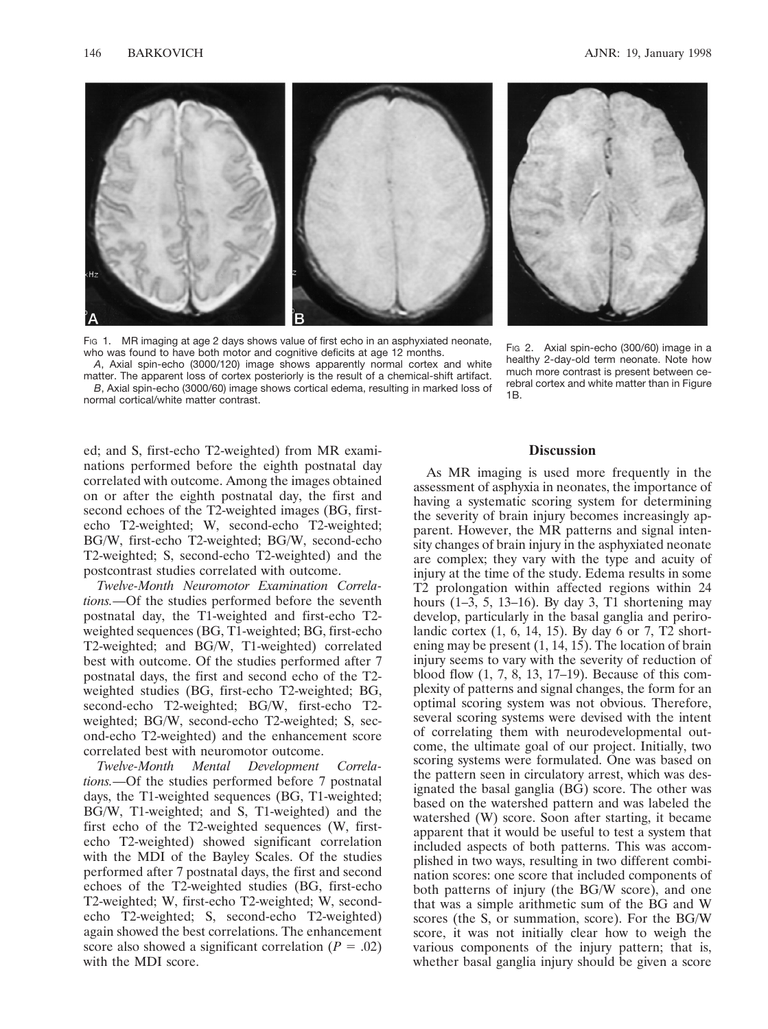

Fig 1. MR imaging at age 2 days shows value of first echo in an asphyxiated neonate, who was found to have both motor and cognitive deficits at age 12 months.

*A*, Axial spin-echo (3000/120) image shows apparently normal cortex and white matter. The apparent loss of cortex posteriorly is the result of a chemical-shift artifact. *B*, Axial spin-echo (3000/60) image shows cortical edema, resulting in marked loss of normal cortical/white matter contrast.



FIG 2. Axial spin-echo (300/60) image in a healthy 2-day-old term neonate. Note how much more contrast is present between cerebral cortex and white matter than in Figure 1B.

ed; and S, first-echo T2-weighted) from MR examinations performed before the eighth postnatal day correlated with outcome. Among the images obtained on or after the eighth postnatal day, the first and second echoes of the T2-weighted images (BG, firstecho T2-weighted; W, second-echo T2-weighted; BG/W, first-echo T2-weighted; BG/W, second-echo T2-weighted; S, second-echo T2-weighted) and the postcontrast studies correlated with outcome.

*Twelve-Month Neuromotor Examination Correlations.*—Of the studies performed before the seventh postnatal day, the T1-weighted and first-echo T2 weighted sequences (BG, T1-weighted; BG, first-echo T2-weighted; and BG/W, T1-weighted) correlated best with outcome. Of the studies performed after 7 postnatal days, the first and second echo of the T2 weighted studies (BG, first-echo T2-weighted; BG, second-echo T2-weighted; BG/W, first-echo T2 weighted; BG/W, second-echo T2-weighted; S, second-echo T2-weighted) and the enhancement score correlated best with neuromotor outcome.

*Twelve-Month Mental Development Correlations.*—Of the studies performed before 7 postnatal days, the T1-weighted sequences (BG, T1-weighted; BG/W, T1-weighted; and S, T1-weighted) and the first echo of the T2-weighted sequences (W, firstecho T2-weighted) showed significant correlation with the MDI of the Bayley Scales. Of the studies performed after 7 postnatal days, the first and second echoes of the T2-weighted studies (BG, first-echo T2-weighted; W, first-echo T2-weighted; W, secondecho T2-weighted; S, second-echo T2-weighted) again showed the best correlations. The enhancement score also showed a significant correlation  $(P = .02)$ with the MDI score.

# **Discussion**

As MR imaging is used more frequently in the assessment of asphyxia in neonates, the importance of having a systematic scoring system for determining the severity of brain injury becomes increasingly apparent. However, the MR patterns and signal intensity changes of brain injury in the asphyxiated neonate are complex; they vary with the type and acuity of injury at the time of the study. Edema results in some T2 prolongation within affected regions within 24 hours  $(1-3, 5, 13-16)$ . By day 3, T1 shortening may develop, particularly in the basal ganglia and perirolandic cortex (1, 6, 14, 15). By day 6 or 7, T2 shortening may be present (1, 14, 15). The location of brain injury seems to vary with the severity of reduction of blood flow (1, 7, 8, 13, 17–19). Because of this complexity of patterns and signal changes, the form for an optimal scoring system was not obvious. Therefore, several scoring systems were devised with the intent of correlating them with neurodevelopmental outcome, the ultimate goal of our project. Initially, two scoring systems were formulated. One was based on the pattern seen in circulatory arrest, which was designated the basal ganglia (BG) score. The other was based on the watershed pattern and was labeled the watershed (W) score. Soon after starting, it became apparent that it would be useful to test a system that included aspects of both patterns. This was accomplished in two ways, resulting in two different combination scores: one score that included components of both patterns of injury (the BG/W score), and one that was a simple arithmetic sum of the BG and W scores (the S, or summation, score). For the BG/W score, it was not initially clear how to weigh the various components of the injury pattern; that is, whether basal ganglia injury should be given a score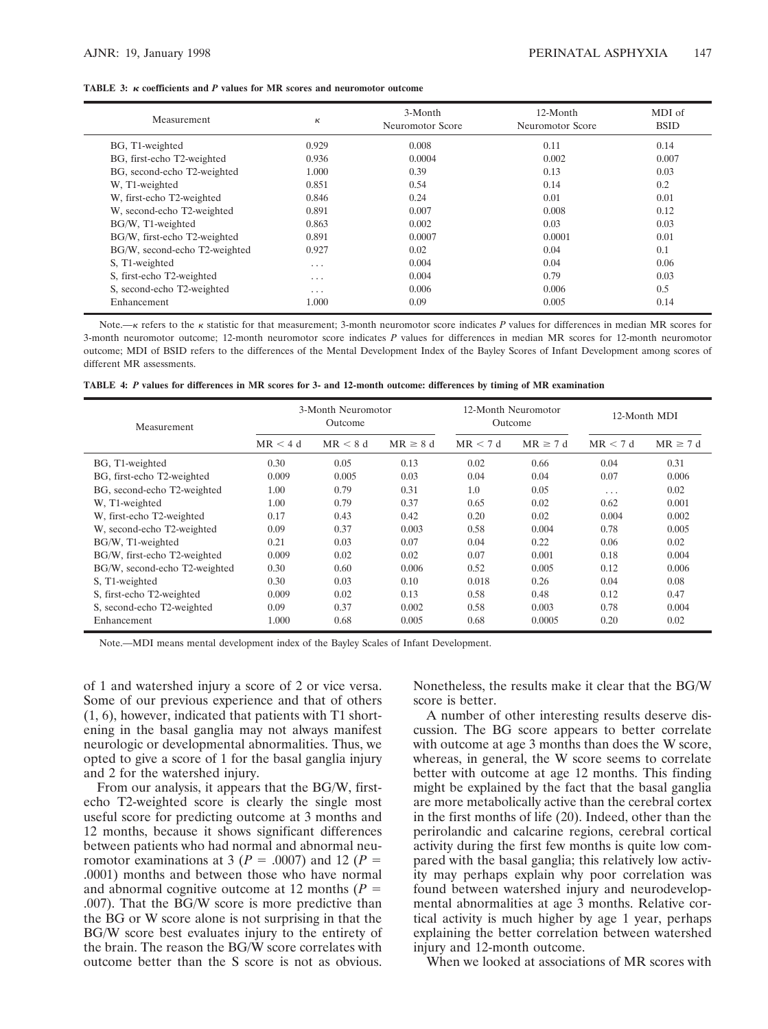|  |  | <b>TABLE 3:</b> $\kappa$ coefficients and P values for MR scores and neuromotor outcome |  |
|--|--|-----------------------------------------------------------------------------------------|--|
|--|--|-----------------------------------------------------------------------------------------|--|

| Measurement                   | к     | 3-Month<br>Neuromotor Score | 12-Month<br>Neuromotor Score | MDI of<br><b>BSID</b> |  |
|-------------------------------|-------|-----------------------------|------------------------------|-----------------------|--|
| BG, T1-weighted               | 0.929 | 0.008                       | 0.11                         | 0.14                  |  |
| BG, first-echo T2-weighted    | 0.936 | 0.0004                      | 0.002                        | 0.007                 |  |
| BG, second-echo T2-weighted   | 1.000 | 0.39                        | 0.13                         | 0.03                  |  |
| W. T1-weighted                | 0.851 | 0.54                        | 0.14                         | 0.2                   |  |
| W, first-echo T2-weighted     | 0.846 | 0.24                        | 0.01                         | 0.01                  |  |
| W, second-echo T2-weighted    | 0.891 | 0.007                       | 0.008                        | 0.12                  |  |
| BG/W, T1-weighted             | 0.863 | 0.002                       | 0.03                         | 0.03                  |  |
| BG/W, first-echo T2-weighted  | 0.891 | 0.0007                      | 0.0001                       | 0.01                  |  |
| BG/W, second-echo T2-weighted | 0.927 | 0.02                        | 0.04                         | 0.1                   |  |
| S, T1-weighted                | .     | 0.004                       | 0.04                         | 0.06                  |  |
| S, first-echo T2-weighted     | .     | 0.004                       | 0.79                         | 0.03                  |  |
| S, second-echo T2-weighted    | .     | 0.006                       | 0.006                        | 0.5                   |  |
| Enhancement                   | 1.000 | 0.09                        | 0.005                        | 0.14                  |  |

Note.—k refers to the k statistic for that measurement; 3-month neuromotor score indicates P values for differences in median MR scores for 3-month neuromotor outcome; 12-month neuromotor score indicates *P* values for differences in median MR scores for 12-month neuromotor outcome; MDI of BSID refers to the differences of the Mental Development Index of the Bayley Scores of Infant Development among scores of different MR assessments.

|  |  |  |  |  |  |  |  |  |  |  |  |  |  | TABLE 4: P values for differences in MR scores for 3- and 12-month outcome: differences by timing of MR examination |
|--|--|--|--|--|--|--|--|--|--|--|--|--|--|---------------------------------------------------------------------------------------------------------------------|
|--|--|--|--|--|--|--|--|--|--|--|--|--|--|---------------------------------------------------------------------------------------------------------------------|

| Measurement                   |         | 3-Month Neuromotor<br>Outcome |               |         | 12-Month Neuromotor<br>Outcome | 12-Month MDI |               |  |
|-------------------------------|---------|-------------------------------|---------------|---------|--------------------------------|--------------|---------------|--|
|                               | MR < 4d | MR < 8d                       | $MR \geq 8 d$ | MR < 7d | $MR \geq 7d$                   | MR < 7d      | $MR \geq 7 d$ |  |
| BG, T1-weighted               | 0.30    | 0.05                          | 0.13          | 0.02    | 0.66                           | 0.04         | 0.31          |  |
| BG, first-echo T2-weighted    | 0.009   | 0.005                         | 0.03          | 0.04    | 0.04                           | 0.07         | 0.006         |  |
| BG, second-echo T2-weighted   | 1.00    | 0.79                          | 0.31          | 1.0     | 0.05                           | $\cdots$     | 0.02          |  |
| W. T1-weighted                | 1.00    | 0.79                          | 0.37          | 0.65    | 0.02                           | 0.62         | 0.001         |  |
| W, first-echo T2-weighted     | 0.17    | 0.43                          | 0.42          | 0.20    | 0.02                           | 0.004        | 0.002         |  |
| W, second-echo T2-weighted    | 0.09    | 0.37                          | 0.003         | 0.58    | 0.004                          | 0.78         | 0.005         |  |
| BG/W, T1-weighted             | 0.21    | 0.03                          | 0.07          | 0.04    | 0.22                           | 0.06         | 0.02          |  |
| BG/W, first-echo T2-weighted  | 0.009   | 0.02                          | 0.02          | 0.07    | 0.001                          | 0.18         | 0.004         |  |
| BG/W, second-echo T2-weighted | 0.30    | 0.60                          | 0.006         | 0.52    | 0.005                          | 0.12         | 0.006         |  |
| S, T1-weighted                | 0.30    | 0.03                          | 0.10          | 0.018   | 0.26                           | 0.04         | 0.08          |  |
| S, first-echo T2-weighted     | 0.009   | 0.02                          | 0.13          | 0.58    | 0.48                           | 0.12         | 0.47          |  |
| S, second-echo T2-weighted    | 0.09    | 0.37                          | 0.002         | 0.58    | 0.003                          | 0.78         | 0.004         |  |
| Enhancement                   | 1.000   | 0.68                          | 0.005         | 0.68    | 0.0005                         | 0.20         | 0.02          |  |

Note.—MDI means mental development index of the Bayley Scales of Infant Development.

of 1 and watershed injury a score of 2 or vice versa. Some of our previous experience and that of others (1, 6), however, indicated that patients with T1 shortening in the basal ganglia may not always manifest neurologic or developmental abnormalities. Thus, we opted to give a score of 1 for the basal ganglia injury and 2 for the watershed injury.

From our analysis, it appears that the BG/W, firstecho T2-weighted score is clearly the single most useful score for predicting outcome at 3 months and 12 months, because it shows significant differences between patients who had normal and abnormal neuromotor examinations at 3 ( $P = .0007$ ) and 12 ( $P =$ .0001) months and between those who have normal and abnormal cognitive outcome at 12 months  $(P =$ .007). That the BG/W score is more predictive than the BG or W score alone is not surprising in that the BG/W score best evaluates injury to the entirety of the brain. The reason the BG/W score correlates with outcome better than the S score is not as obvious.

Nonetheless, the results make it clear that the BG/W score is better.

A number of other interesting results deserve discussion. The BG score appears to better correlate with outcome at age 3 months than does the W score, whereas, in general, the W score seems to correlate better with outcome at age 12 months. This finding might be explained by the fact that the basal ganglia are more metabolically active than the cerebral cortex in the first months of life (20). Indeed, other than the perirolandic and calcarine regions, cerebral cortical activity during the first few months is quite low compared with the basal ganglia; this relatively low activity may perhaps explain why poor correlation was found between watershed injury and neurodevelopmental abnormalities at age 3 months. Relative cortical activity is much higher by age 1 year, perhaps explaining the better correlation between watershed injury and 12-month outcome.

When we looked at associations of MR scores with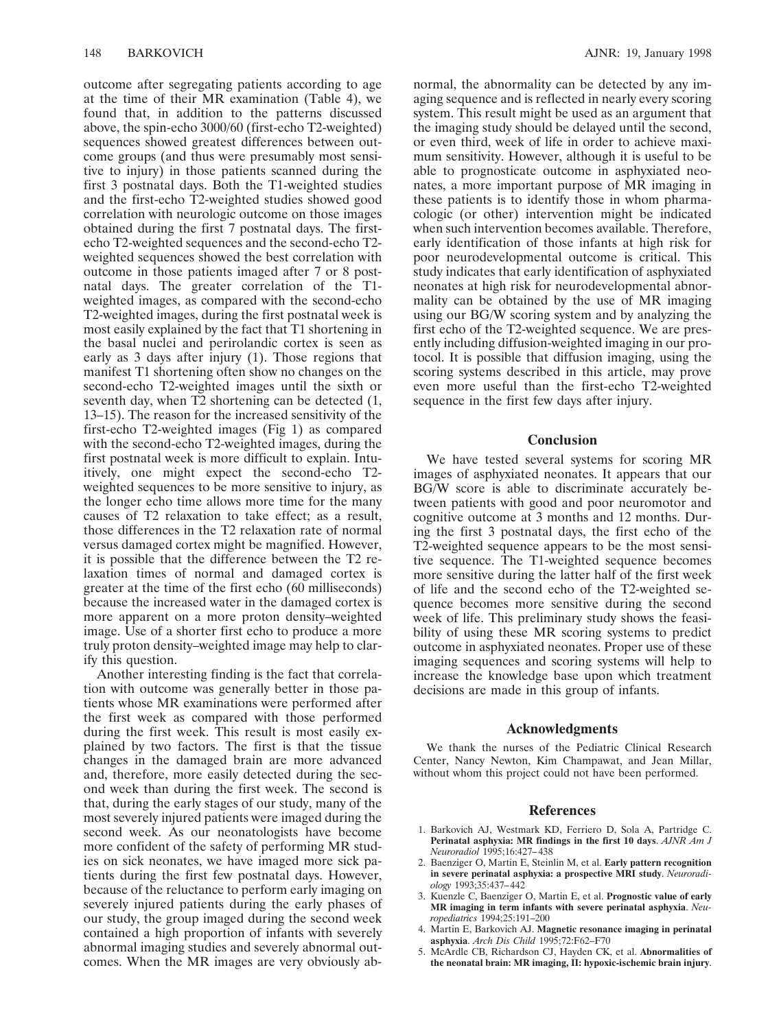outcome after segregating patients according to age at the time of their MR examination (Table 4), we found that, in addition to the patterns discussed above, the spin-echo 3000/60 (first-echo T2-weighted) sequences showed greatest differences between outcome groups (and thus were presumably most sensitive to injury) in those patients scanned during the first 3 postnatal days. Both the T1-weighted studies and the first-echo T2-weighted studies showed good correlation with neurologic outcome on those images obtained during the first 7 postnatal days. The firstecho T2-weighted sequences and the second-echo T2 weighted sequences showed the best correlation with outcome in those patients imaged after 7 or 8 postnatal days. The greater correlation of the T1weighted images, as compared with the second-echo T2-weighted images, during the first postnatal week is most easily explained by the fact that T1 shortening in the basal nuclei and perirolandic cortex is seen as early as 3 days after injury (1). Those regions that manifest T1 shortening often show no changes on the second-echo T2-weighted images until the sixth or seventh day, when T2 shortening can be detected (1, 13–15). The reason for the increased sensitivity of the first-echo T2-weighted images (Fig 1) as compared with the second-echo T2-weighted images, during the first postnatal week is more difficult to explain. Intuitively, one might expect the second-echo T2 weighted sequences to be more sensitive to injury, as the longer echo time allows more time for the many causes of T2 relaxation to take effect; as a result, those differences in the T2 relaxation rate of normal versus damaged cortex might be magnified. However, it is possible that the difference between the T2 relaxation times of normal and damaged cortex is greater at the time of the first echo (60 milliseconds) because the increased water in the damaged cortex is more apparent on a more proton density–weighted image. Use of a shorter first echo to produce a more truly proton density–weighted image may help to clarify this question.

Another interesting finding is the fact that correlation with outcome was generally better in those patients whose MR examinations were performed after the first week as compared with those performed during the first week. This result is most easily explained by two factors. The first is that the tissue changes in the damaged brain are more advanced and, therefore, more easily detected during the second week than during the first week. The second is that, during the early stages of our study, many of the most severely injured patients were imaged during the second week. As our neonatologists have become more confident of the safety of performing MR studies on sick neonates, we have imaged more sick patients during the first few postnatal days. However, because of the reluctance to perform early imaging on severely injured patients during the early phases of our study, the group imaged during the second week contained a high proportion of infants with severely abnormal imaging studies and severely abnormal outcomes. When the MR images are very obviously abnormal, the abnormality can be detected by any imaging sequence and is reflected in nearly every scoring system. This result might be used as an argument that the imaging study should be delayed until the second, or even third, week of life in order to achieve maximum sensitivity. However, although it is useful to be able to prognosticate outcome in asphyxiated neonates, a more important purpose of MR imaging in these patients is to identify those in whom pharmacologic (or other) intervention might be indicated when such intervention becomes available. Therefore, early identification of those infants at high risk for poor neurodevelopmental outcome is critical. This study indicates that early identification of asphyxiated neonates at high risk for neurodevelopmental abnormality can be obtained by the use of MR imaging using our BG/W scoring system and by analyzing the first echo of the T2-weighted sequence. We are presently including diffusion-weighted imaging in our protocol. It is possible that diffusion imaging, using the scoring systems described in this article, may prove even more useful than the first-echo T2-weighted sequence in the first few days after injury.

# **Conclusion**

We have tested several systems for scoring MR images of asphyxiated neonates. It appears that our BG/W score is able to discriminate accurately between patients with good and poor neuromotor and cognitive outcome at 3 months and 12 months. During the first 3 postnatal days, the first echo of the T2-weighted sequence appears to be the most sensitive sequence. The T1-weighted sequence becomes more sensitive during the latter half of the first week of life and the second echo of the T2-weighted sequence becomes more sensitive during the second week of life. This preliminary study shows the feasibility of using these MR scoring systems to predict outcome in asphyxiated neonates. Proper use of these imaging sequences and scoring systems will help to increase the knowledge base upon which treatment decisions are made in this group of infants.

### **Acknowledgments**

We thank the nurses of the Pediatric Clinical Research Center, Nancy Newton, Kim Champawat, and Jean Millar, without whom this project could not have been performed.

#### **References**

- 1. Barkovich AJ, Westmark KD, Ferriero D, Sola A, Partridge C. **Perinatal asphyxia: MR findings in the first 10 days**. *AJNR Am J Neuroradiol* 1995;16:427–438
- 2. Baenziger O, Martin E, Steinlin M, et al. **Early pattern recognition in severe perinatal asphyxia: a prospective MRI study**. *Neuroradiology* 1993;35:437–442
- 3. Kuenzle C, Baenziger O, Martin E, et al. **Prognostic value of early MR imaging in term infants with severe perinatal asphyxia**. *Neuropediatrics* 1994;25:191–200
- 4. Martin E, Barkovich AJ. **Magnetic resonance imaging in perinatal asphyxia**. *Arch Dis Child* 1995;72:F62–F70
- 5. McArdle CB, Richardson CJ, Hayden CK, et al. **Abnormalities of the neonatal brain: MR imaging, II: hypoxic-ischemic brain injury**.